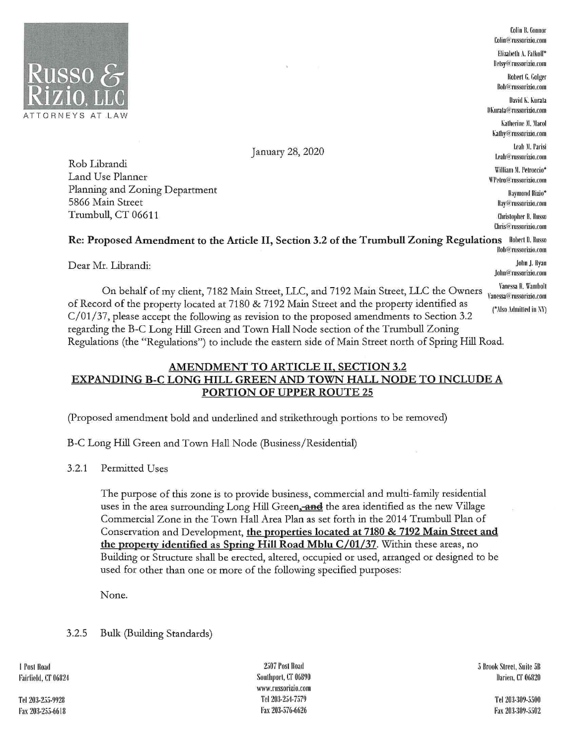

Colin B. Connor Colin@:russorizio.com Elizabeth A. Falkoff\* lletsy@'russorizio.com Robert G. Golger Bob@russorizio.com David K. Kurata Katherine M. Macol ~alhy@:russorizio.com Leah M. Parisi l.rah@rnssorizio.com William M. Petroccio\* ll'l'rtro@:rus.~orizio.com Raymond Rizio\* Ray@russorizio.com Christopher B. Russo thris@:russorizio.com

John@russorizio.com

January 28, 2020

Rob Librandi Land Use Planner Planning and Zoning Department 5866 Main Street Trumbull, CT 06611

## **Re: Proposed Amendment to the Article** II, **Section 3.2 of the Trumbull Zoning Regulations** llohrrt ll. llnsso Rob@russorizio.com

Dear Mr. Librandi: John J. Ryan

On behalf of my client, 7182 Main Street, LLC, and 7192 Main Street, LLC the Owners Vanessa@russorizio.com of Record of the property located at 7180 & 7192 Main Street and the property identified as C/01/37, please accept the following as revision to the proposed amendments to Section 3.2 regarding the B-C Long Hill Green and Town Hall Node section of the Trumbull Zoning (\*Also Admilled in NI') Regulations (the "Regulations") to include the eastern side of Main Street north of Spring Hill Road.

## AMENDMENT TO ARTICLE II, SECTION 3.2 EXPANDING B-C LONG HILL GREEN AND TOWN HALL NODE TO INCLUDE A PORTION OF UPPER ROUTE 25

(Proposed amendment bold and underlined and strikethrough portions to be removed)

B-C Long Hill Green and Town Hall Node (Business/Residential)

3.2.1 Permitted Uses

The purpose of this zone is to provide business, commercial and multi-family residential uses in the area surrounding Long Hill Green, and the area identified as the new Village Commercial Zone in the Town Hall Area Plan as set forth in the 2014 Trumbull Plan of Conservation and Development, **the properties located at 7180** & **7192 Main Street and the property identified as Spring Hill Road Mblu C/01/37.** Within these areas, no Building or Structure shall be erected, altered, occupied or used, arranged or designed to be used for other than one or more of the following specified purposes:

None.

3.2.5 Bulk (Building Standards)

I Post Road Fairfield, CT 06824

Tel 203-255-9928 Fax 203-255-6618

2507 Post Road Southport, CT 06890 www.rnssorizio.com Tel 203-254-7579 Fax 203-576-6626

5 Brook Street, Suite 5B Darien, CT 06820

> Tel 203-309-5500 Fax 203-309-5502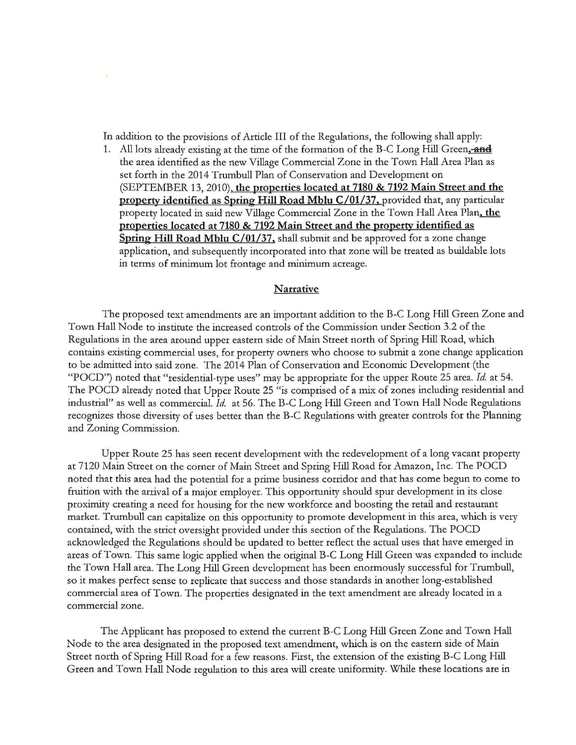In addition to the provisions of Article III of the Regulations, the following shall apply:

1. All lots already existing at the time of the formation of the B-C Long Hill Green. **aad**  the area identified as the new Village Commercial Zone in the Town Hall Area Plan as set forth in the 2014 Trumbull Plan of Conservation and Development on (SEPTEMBER 13, 2010), **the properties located at 7180** & **7192 Main Street and the property identified as Spring Hill Road Mblu C/01/37,** provided that, any particular property located in said new Village Commercial Zone in the Town Hall Area Plan, **the properties located at 7180 & 7192 Main Street and the property identified as Spring Hill Road Mblu C/01/37.** shall submit and be approved for a zone change application, and subsequently incorporated into that zone will be treated as buildable lots in terms of minimum lot frontage and minimum acreage.

## **Narrative**

The proposed text amendments are an important addition to the B-C Long Hill Green Zone and Town Hall Node to institute the increased controls of the Commission under Section 3.2 of the Regulations in the area around upper eastern side of Main Street north of Spring Hill Road, which contains existing commercial uses, for property owners who choose to submit a zone change application to be admitted into said zone. The 2014 Plan of Conservation and Economic Development (the "POCD") noted that "residential-type uses" may be appropriate for the upper Route 25 area. Id. at 54. The POCD already noted that Upper Route 25 "is comprised of a mix of zones including residential and industrial" as well as commercial. *Id.* at 56. The B-C Long Hill Green and Town Hall Node Regulations recognizes those diversity of uses better than the B-C Regulations with greater controls for the Planning and Zoning Commission.

Upper Route 25 has seen recent development with the redevelopment of a long vacant property at 7120 Main Street on the corner of Main Street and Spring Hill Road for Amazon, Inc. The POCD noted that this area had the potential for a prime business corridor and that has come begun to come to fruition with the arrival of a major employer. This opportunity should spur development in its close proximity creating a need for housing for the new workforce and boosting the retail and restaurant market. Trumbull can capitalize on this opportunity to promote development in this area, which is very contained, with the strict oversight provided under this section of the Regulations. The POCD acknowledged the Regulations should be updated to better reflect the actual uses that have emerged in areas of Town. This same logic applied when the original B-C Long Hill Green was expanded to include the Town Hall area. The Long Hill Green development has been enormously successful for Trumbull, so it makes perfect sense to replicate that success and those standards in another long-established commercial area of Town. The properties designated in the text amendment are already located in a commercial zone.

The Applicant has proposed to extend the current B-C Long Hill Green Zone and Town Hall Node to the area designated in the proposed text amendment, which is on the eastern side of Maio Street north of Spring Hill Road for a few reasons. First, the extension of the existing B-C Long Hill Green and Town Hall Node regulation to this area will create uniformity. While these locations are in